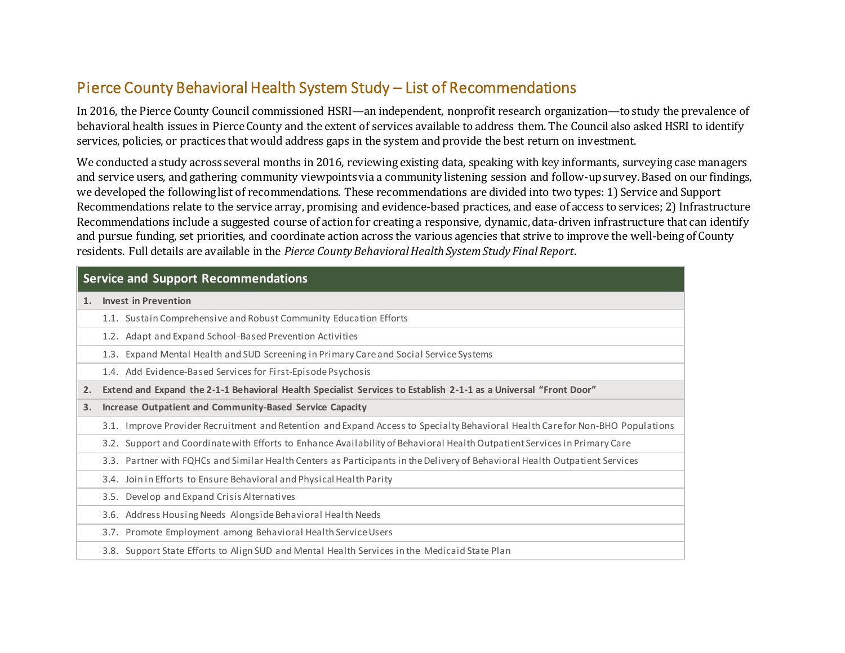## Pierce County Behavioral Health System Study – List of Recommendations

In 2016, the Pierce County Council commissioned HSRI—an independent, nonprofit research organization—to study the prevalence of behavioral health issues in Pierce County and the extent of services available to address them. The Council also asked HSRI to identify services, policies, or practices that would address gaps in the system and provide the best return on investment.

We conducted a study across several months in 2016, reviewing existing data, speaking with key informants, surveying case managers and service users, and gathering community viewpoints via a community listening session and follow-up survey. Based on our findings, we developed the following list of recommendations. These recommendations are divided into two types: 1) Service and Support Recommendations relate to the service array, promising and evidence-based practices, and ease of access to services; 2) Infrastructure Recommendations include a suggested course of action for creating a responsive, dynamic, data-driven infrastructure that can identify and pursue funding, set priorities, and coordinate action across the various agencies that strive to improve the well-being of County residents. Full details are available in the *Pierce County Behavioral Health System Study Final Report*.

## **Service and Support Recommendations**

**1. Invest in Prevention**

- 1.1. Sustain Comprehensive and Robust Community Education Efforts
- 1.2. Adapt and Expand School-Based Prevention Activities
- 1.3. Expand Mental Health and SUD Screening in Primary Care and Social Service Systems
- 1.4. Add Evidence-Based Services for First-Episode Psychosis
- **2. Extend and Expand the 2-1-1 Behavioral Health Specialist Services to Establish 2-1-1 as a Universal "Front Door"**
- **3. Increase Outpatient and Community-Based Service Capacity**
	- 3.1. Improve Provider Recruitment and Retention and Expand Access to Specialty Behavioral Health Care for Non-BHO Populations
	- 3.2. Support and Coordinate with Efforts to Enhance Availability of Behavioral Health Outpatient Services in Primary Care
	- 3.3. Partner with FQHCs and Similar Health Centers as Participants in the Delivery of Behavioral Health Outpatient Services
	- 3.4. Join in Efforts to Ensure Behavioral and Physical Health Parity
	- 3.5. Develop and Expand Crisis Alternatives
	- 3.6. Address Housing Needs Alongside Behavioral Health Needs
	- 3.7. Promote Employment among Behavioral Health Service Users
	- 3.8. Support State Efforts to Align SUD and Mental Health Services in the Medicaid State Plan